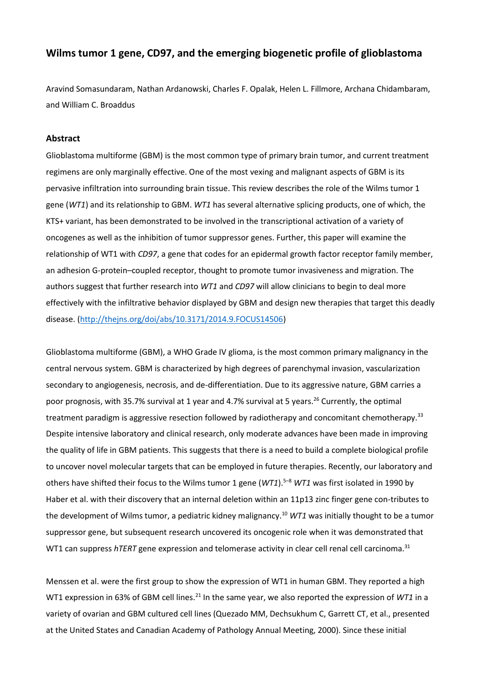# **Wilms tumor 1 gene, CD97, and the emerging biogenetic profile of glioblastoma**

Aravind Somasundaram, Nathan Ardanowski, Charles F. Opalak, Helen L. Fillmore, Archana Chidambaram, and William C. Broaddus

## **Abstract**

Glioblastoma multiforme (GBM) is the most common type of primary brain tumor, and current treatment regimens are only marginally effective. One of the most vexing and malignant aspects of GBM is its pervasive infiltration into surrounding brain tissue. This review describes the role of the Wilms tumor 1 gene (*WT1*) and its relationship to GBM. *WT1* has several alternative splicing products, one of which, the KTS+ variant, has been demonstrated to be involved in the transcriptional activation of a variety of oncogenes as well as the inhibition of tumor suppressor genes. Further, this paper will examine the relationship of WT1 with *CD97*, a gene that codes for an epidermal growth factor receptor family member, an adhesion G-protein–coupled receptor, thought to promote tumor invasiveness and migration. The authors suggest that further research into *WT1* and *CD97* will allow clinicians to begin to deal more effectively with the infiltrative behavior displayed by GBM and design new therapies that target this deadly disease. [\(http://thejns.org/doi/abs/10.3171/2014.9.FOCUS14506\)](http://thejns.org/doi/abs/10.3171/2014.9.FOCUS14506)

Glioblastoma multiforme (GBM), a WHO Grade IV glioma, is the most common primary malignancy in the central nervous system. GBM is characterized by high degrees of parenchymal invasion, vascularization secondary to angiogenesis, necrosis, and de-differentiation. Due to its aggressive nature, GBM carries a poor prognosis, with 35.7% survival at 1 year and 4.7% survival at 5 years.<sup>26</sup> Currently, the optimal treatment paradigm is aggressive resection followed by radiotherapy and concomitant chemotherapy.<sup>33</sup> Despite intensive laboratory and clinical research, only moderate advances have been made in improving the quality of life in GBM patients. This suggests that there is a need to build a complete biological profile to uncover novel molecular targets that can be employed in future therapies. Recently, our laboratory and others have shifted their focus to the Wilms tumor 1 gene (*WT1*).<sup>5</sup>–<sup>8</sup> *WT1* was first isolated in 1990 by Haber et al. with their discovery that an internal deletion within an 11p13 zinc finger gene con-tributes to the development of Wilms tumor, a pediatric kidney malignancy.<sup>10</sup> *WT1* was initially thought to be a tumor suppressor gene, but subsequent research uncovered its oncogenic role when it was demonstrated that WT1 can suppress *hTERT* gene expression and telomerase activity in clear cell renal cell carcinoma.<sup>31</sup>

Menssen et al. were the first group to show the expression of WT1 in human GBM. They reported a high WT1 expression in 63% of GBM cell lines.<sup>21</sup> In the same year, we also reported the expression of *WT1* in a variety of ovarian and GBM cultured cell lines (Quezado MM, Dechsukhum C, Garrett CT, et al., presented at the United States and Canadian Academy of Pathology Annual Meeting, 2000). Since these initial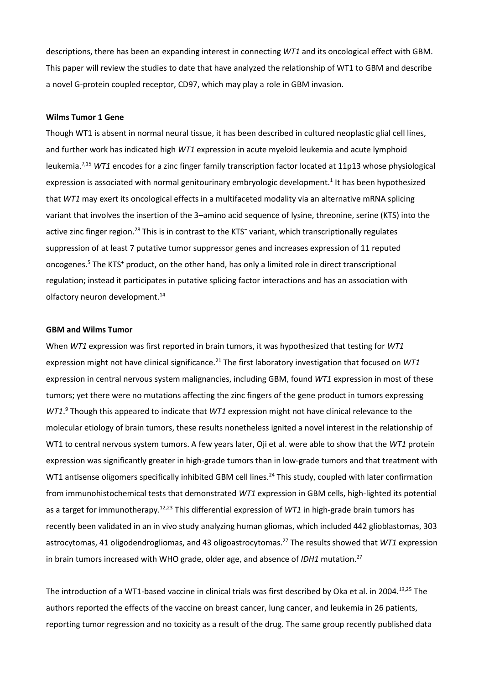descriptions, there has been an expanding interest in connecting *WT1* and its oncological effect with GBM. This paper will review the studies to date that have analyzed the relationship of WT1 to GBM and describe a novel G-protein coupled receptor, CD97, which may play a role in GBM invasion.

# **Wilms Tumor 1 Gene**

Though WT1 is absent in normal neural tissue, it has been described in cultured neoplastic glial cell lines, and further work has indicated high *WT1* expression in acute myeloid leukemia and acute lymphoid leukemia.7,15 *WT1* encodes for a zinc finger family transcription factor located at 11p13 whose physiological expression is associated with normal genitourinary embryologic development.<sup>1</sup> It has been hypothesized that *WT1* may exert its oncological effects in a multifaceted modality via an alternative mRNA splicing variant that involves the insertion of the 3-amino acid sequence of lysine, threonine, serine (KTS) into the active zinc finger region.<sup>28</sup> This is in contrast to the KTS<sup>-</sup> variant, which transcriptionally regulates suppression of at least 7 putative tumor suppressor genes and increases expression of 11 reputed oncogenes.<sup>5</sup> The KTS<sup>+</sup> product, on the other hand, has only a limited role in direct transcriptional regulation; instead it participates in putative splicing factor interactions and has an association with olfactory neuron development.<sup>14</sup>

### **GBM and Wilms Tumor**

When *WT1* expression was first reported in brain tumors, it was hypothesized that testing for *WT1* expression might not have clinical significance.<sup>21</sup> The first laboratory investigation that focused on *WT1* expression in central nervous system malignancies, including GBM, found *WT1* expression in most of these tumors; yet there were no mutations affecting the zinc fingers of the gene product in tumors expressing *WT1*. <sup>9</sup> Though this appeared to indicate that *WT1* expression might not have clinical relevance to the molecular etiology of brain tumors, these results nonetheless ignited a novel interest in the relationship of WT1 to central nervous system tumors. A few years later, Oji et al. were able to show that the *WT1* protein expression was significantly greater in high-grade tumors than in low-grade tumors and that treatment with WT1 antisense oligomers specifically inhibited GBM cell lines.<sup>24</sup> This study, coupled with later confirmation from immunohistochemical tests that demonstrated *WT1* expression in GBM cells, high-lighted its potential as a target for immunotherapy.12,23 This differential expression of *WT1* in high-grade brain tumors has recently been validated in an in vivo study analyzing human gliomas, which included 442 glioblastomas, 303 astrocytomas, 41 oligodendrogliomas, and 43 oligoastrocytomas.<sup>27</sup> The results showed that *WT1* expression in brain tumors increased with WHO grade, older age, and absence of *IDH1* mutation.<sup>27</sup>

The introduction of a WT1-based vaccine in clinical trials was first described by Oka et al. in 2004.13,25 The authors reported the effects of the vaccine on breast cancer, lung cancer, and leukemia in 26 patients, reporting tumor regression and no toxicity as a result of the drug. The same group recently published data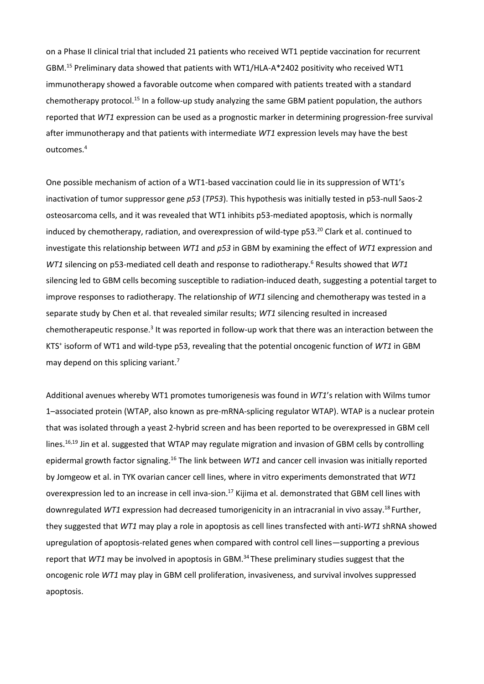on a Phase II clinical trial that included 21 patients who received WT1 peptide vaccination for recurrent GBM.<sup>15</sup> Preliminary data showed that patients with WT1/HLA-A\*2402 positivity who received WT1 immunotherapy showed a favorable outcome when compared with patients treated with a standard chemotherapy protocol.<sup>15</sup> In a follow-up study analyzing the same GBM patient population, the authors reported that *WT1* expression can be used as a prognostic marker in determining progression-free survival after immunotherapy and that patients with intermediate *WT1* expression levels may have the best outcomes.<sup>4</sup>

One possible mechanism of action of a WT1-based vaccination could lie in its suppression of WT1's inactivation of tumor suppressor gene *p53* (*TP53*). This hypothesis was initially tested in p53-null Saos-2 osteosarcoma cells, and it was revealed that WT1 inhibits p53-mediated apoptosis, which is normally induced by chemotherapy, radiation, and overexpression of wild-type p53.<sup>20</sup> Clark et al. continued to investigate this relationship between *WT1* and *p53* in GBM by examining the effect of *WT1* expression and *WT1* silencing on p53-mediated cell death and response to radiotherapy.<sup>6</sup> Results showed that *WT1* silencing led to GBM cells becoming susceptible to radiation-induced death, suggesting a potential target to improve responses to radiotherapy. The relationship of *WT1* silencing and chemotherapy was tested in a separate study by Chen et al. that revealed similar results; *WT1* silencing resulted in increased chemotherapeutic response.<sup>3</sup> It was reported in follow-up work that there was an interaction between the KTS<sup>+</sup> isoform of WT1 and wild-type p53, revealing that the potential oncogenic function of *WT1* in GBM may depend on this splicing variant.<sup>7</sup>

Additional avenues whereby WT1 promotes tumorigenesis was found in *WT1*'s relation with Wilms tumor 1–associated protein (WTAP, also known as pre-mRNA-splicing regulator WTAP). WTAP is a nuclear protein that was isolated through a yeast 2-hybrid screen and has been reported to be overexpressed in GBM cell lines.<sup>16,19</sup> Jin et al. suggested that WTAP may regulate migration and invasion of GBM cells by controlling epidermal growth factor signaling.<sup>16</sup> The link between *WT1* and cancer cell invasion was initially reported by Jomgeow et al. in TYK ovarian cancer cell lines, where in vitro experiments demonstrated that *WT1* overexpression led to an increase in cell inva-sion.<sup>17</sup> Kijima et al. demonstrated that GBM cell lines with downregulated *WT1* expression had decreased tumorigenicity in an intracranial in vivo assay.<sup>18</sup>Further, they suggested that *WT1* may play a role in apoptosis as cell lines transfected with anti-*WT1* shRNA showed upregulation of apoptosis-related genes when compared with control cell lines—supporting a previous report that *WT1* may be involved in apoptosis in GBM.<sup>34</sup>These preliminary studies suggest that the oncogenic role *WT1* may play in GBM cell proliferation, invasiveness, and survival involves suppressed apoptosis.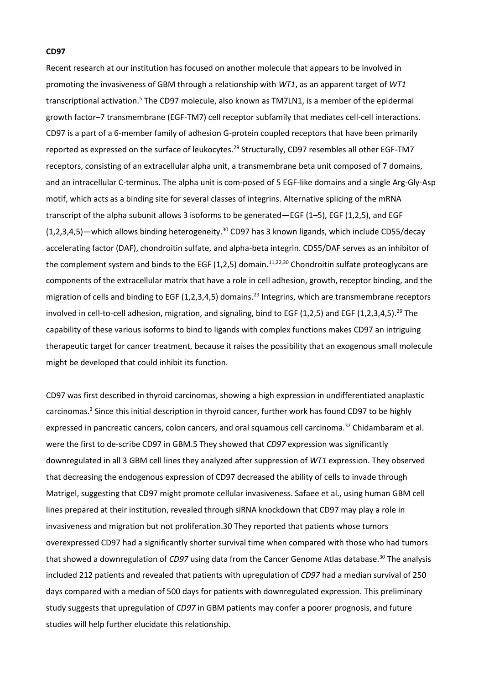# **CD97**

Recent research at our institution has focused on another molecule that appears to be involved in promoting the invasiveness of GBM through a relationship with *WT1*, as an apparent target of *WT1* transcriptional activation.<sup>5</sup> The CD97 molecule, also known as TM7LN1, is a member of the epidermal growth factor–7 transmembrane (EGF-TM7) cell receptor subfamily that mediates cell-cell interactions. CD97 is a part of a 6-member family of adhesion G-protein coupled receptors that have been primarily reported as expressed on the surface of leukocytes.<sup>29</sup> Structurally, CD97 resembles all other EGF-TM7 receptors, consisting of an extracellular alpha unit, a transmembrane beta unit composed of 7 domains, and an intracellular C-terminus. The alpha unit is com-posed of 5 EGF-like domains and a single Arg-Gly-Asp motif, which acts as a binding site for several classes of integrins. Alternative splicing of the mRNA transcript of the alpha subunit allows 3 isoforms to be generated—EGF (1–5), EGF (1,2,5), and EGF (1,2,3,4,5)—which allows binding heterogeneity.<sup>30</sup> CD97 has 3 known ligands, which include CD55/decay accelerating factor (DAF), chondroitin sulfate, and alpha-beta integrin. CD55/DAF serves as an inhibitor of the complement system and binds to the EGF (1,2,5) domain.<sup>11,22,30</sup> Chondroitin sulfate proteoglycans are components of the extracellular matrix that have a role in cell adhesion, growth, receptor binding, and the migration of cells and binding to EGF (1,2,3,4,5) domains.<sup>29</sup> Integrins, which are transmembrane receptors involved in cell-to-cell adhesion, migration, and signaling, bind to EGF (1,2,5) and EGF (1,2,3,4,5).<sup>29</sup> The capability of these various isoforms to bind to ligands with complex functions makes CD97 an intriguing therapeutic target for cancer treatment, because it raises the possibility that an exogenous small molecule might be developed that could inhibit its function.

CD97 was first described in thyroid carcinomas, showing a high expression in undifferentiated anaplastic carcinomas.<sup>2</sup> Since this initial description in thyroid cancer, further work has found CD97 to be highly expressed in pancreatic cancers, colon cancers, and oral squamous cell carcinoma.<sup>32</sup> Chidambaram et al. were the first to de-scribe CD97 in GBM.5 They showed that *CD97* expression was significantly downregulated in all 3 GBM cell lines they analyzed after suppression of *WT1* expression. They observed that decreasing the endogenous expression of CD97 decreased the ability of cells to invade through Matrigel, suggesting that CD97 might promote cellular invasiveness. Safaee et al., using human GBM cell lines prepared at their institution, revealed through siRNA knockdown that CD97 may play a role in invasiveness and migration but not proliferation.30 They reported that patients whose tumors overexpressed CD97 had a significantly shorter survival time when compared with those who had tumors that showed a downregulation of *CD97* using data from the Cancer Genome Atlas database.<sup>30</sup> The analysis included 212 patients and revealed that patients with upregulation of *CD97* had a median survival of 250 days compared with a median of 500 days for patients with downregulated expression. This preliminary study suggests that upregulation of *CD97* in GBM patients may confer a poorer prognosis, and future studies will help further elucidate this relationship.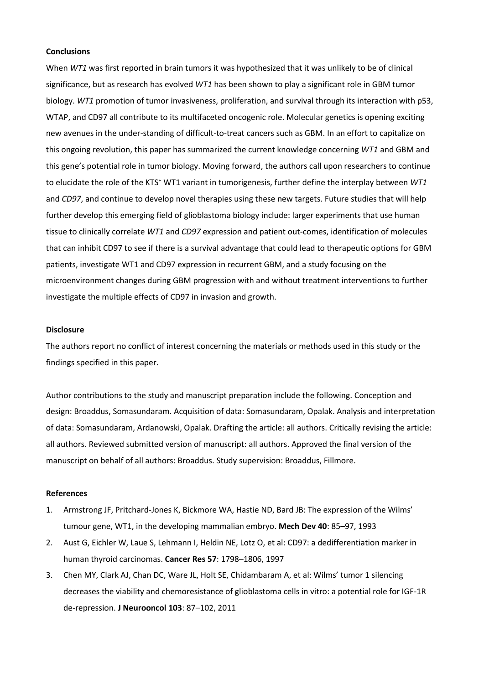### **Conclusions**

When *WT1* was first reported in brain tumors it was hypothesized that it was unlikely to be of clinical significance, but as research has evolved *WT1* has been shown to play a significant role in GBM tumor biology. *WT1* promotion of tumor invasiveness, proliferation, and survival through its interaction with p53, WTAP, and CD97 all contribute to its multifaceted oncogenic role. Molecular genetics is opening exciting new avenues in the under-standing of difficult-to-treat cancers such as GBM. In an effort to capitalize on this ongoing revolution, this paper has summarized the current knowledge concerning *WT1* and GBM and this gene's potential role in tumor biology. Moving forward, the authors call upon researchers to continue to elucidate the role of the KTS<sup>+</sup> WT1 variant in tumorigenesis, further define the interplay between *WT1* and *CD97*, and continue to develop novel therapies using these new targets. Future studies that will help further develop this emerging field of glioblastoma biology include: larger experiments that use human tissue to clinically correlate *WT1* and *CD97* expression and patient out-comes, identification of molecules that can inhibit CD97 to see if there is a survival advantage that could lead to therapeutic options for GBM patients, investigate WT1 and CD97 expression in recurrent GBM, and a study focusing on the microenvironment changes during GBM progression with and without treatment interventions to further investigate the multiple effects of CD97 in invasion and growth.

# **Disclosure**

The authors report no conflict of interest concerning the materials or methods used in this study or the findings specified in this paper.

Author contributions to the study and manuscript preparation include the following. Conception and design: Broaddus, Somasundaram. Acquisition of data: Somasundaram, Opalak. Analysis and interpretation of data: Somasundaram, Ardanowski, Opalak. Drafting the article: all authors. Critically revising the article: all authors. Reviewed submitted version of manuscript: all authors. Approved the final version of the manuscript on behalf of all authors: Broaddus. Study supervision: Broaddus, Fillmore.

## **References**

- 1. Armstrong JF, Pritchard-Jones K, Bickmore WA, Hastie ND, Bard JB: The expression of the Wilms' tumour gene, WT1, in the developing mammalian embryo. **Mech Dev 40**: 85–97, 1993
- 2. Aust G, Eichler W, Laue S, Lehmann I, Heldin NE, Lotz O, et al: CD97: a dedifferentiation marker in human thyroid carcinomas. **Cancer Res 57**: 1798–1806, 1997
- 3. Chen MY, Clark AJ, Chan DC, Ware JL, Holt SE, Chidambaram A, et al: Wilms' tumor 1 silencing decreases the viability and chemoresistance of glioblastoma cells in vitro: a potential role for IGF-1R de-repression. **J Neurooncol 103**: 87–102, 2011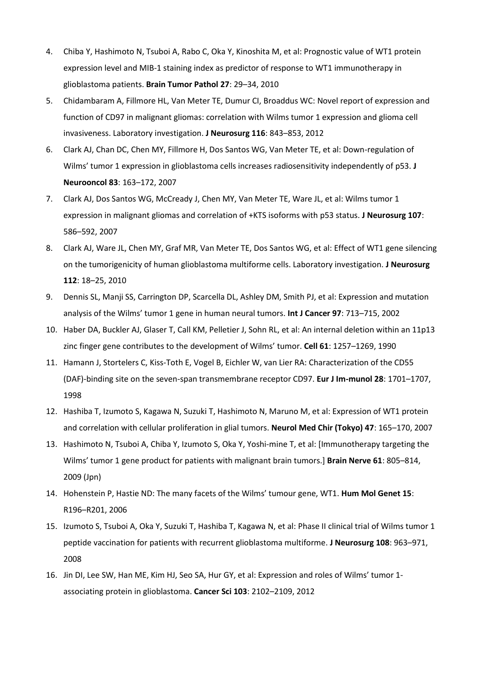- 4. Chiba Y, Hashimoto N, Tsuboi A, Rabo C, Oka Y, Kinoshita M, et al: Prognostic value of WT1 protein expression level and MIB-1 staining index as predictor of response to WT1 immunotherapy in glioblastoma patients. **Brain Tumor Pathol 27**: 29–34, 2010
- 5. Chidambaram A, Fillmore HL, Van Meter TE, Dumur CI, Broaddus WC: Novel report of expression and function of CD97 in malignant gliomas: correlation with Wilms tumor 1 expression and glioma cell invasiveness. Laboratory investigation. **J Neurosurg 116**: 843–853, 2012
- 6. Clark AJ, Chan DC, Chen MY, Fillmore H, Dos Santos WG, Van Meter TE, et al: Down-regulation of Wilms' tumor 1 expression in glioblastoma cells increases radiosensitivity independently of p53. **J Neurooncol 83**: 163–172, 2007
- 7. Clark AJ, Dos Santos WG, McCready J, Chen MY, Van Meter TE, Ware JL, et al: Wilms tumor 1 expression in malignant gliomas and correlation of +KTS isoforms with p53 status. **J Neurosurg 107**: 586–592, 2007
- 8. Clark AJ, Ware JL, Chen MY, Graf MR, Van Meter TE, Dos Santos WG, et al: Effect of WT1 gene silencing on the tumorigenicity of human glioblastoma multiforme cells. Laboratory investigation. **J Neurosurg 112**: 18–25, 2010
- 9. Dennis SL, Manji SS, Carrington DP, Scarcella DL, Ashley DM, Smith PJ, et al: Expression and mutation analysis of the Wilms' tumor 1 gene in human neural tumors. **Int J Cancer 97**: 713–715, 2002
- 10. Haber DA, Buckler AJ, Glaser T, Call KM, Pelletier J, Sohn RL, et al: An internal deletion within an 11p13 zinc finger gene contributes to the development of Wilms' tumor. **Cell 61**: 1257–1269, 1990
- 11. Hamann J, Stortelers C, Kiss-Toth E, Vogel B, Eichler W, van Lier RA: Characterization of the CD55 (DAF)-binding site on the seven-span transmembrane receptor CD97. **Eur J Im-munol 28**: 1701–1707, 1998
- 12. Hashiba T, Izumoto S, Kagawa N, Suzuki T, Hashimoto N, Maruno M, et al: Expression of WT1 protein and correlation with cellular proliferation in glial tumors. **Neurol Med Chir (Tokyo) 47**: 165–170, 2007
- 13. Hashimoto N, Tsuboi A, Chiba Y, Izumoto S, Oka Y, Yoshi-mine T, et al: [Immunotherapy targeting the Wilms' tumor 1 gene product for patients with malignant brain tumors.] **Brain Nerve 61**: 805–814, 2009 (Jpn)
- 14. Hohenstein P, Hastie ND: The many facets of the Wilms' tumour gene, WT1. **Hum Mol Genet 15**: R196–R201, 2006
- 15. Izumoto S, Tsuboi A, Oka Y, Suzuki T, Hashiba T, Kagawa N, et al: Phase II clinical trial of Wilms tumor 1 peptide vaccination for patients with recurrent glioblastoma multiforme. **J Neurosurg 108**: 963–971, 2008
- 16. Jin DI, Lee SW, Han ME, Kim HJ, Seo SA, Hur GY, et al: Expression and roles of Wilms' tumor 1 associating protein in glioblastoma. **Cancer Sci 103**: 2102–2109, 2012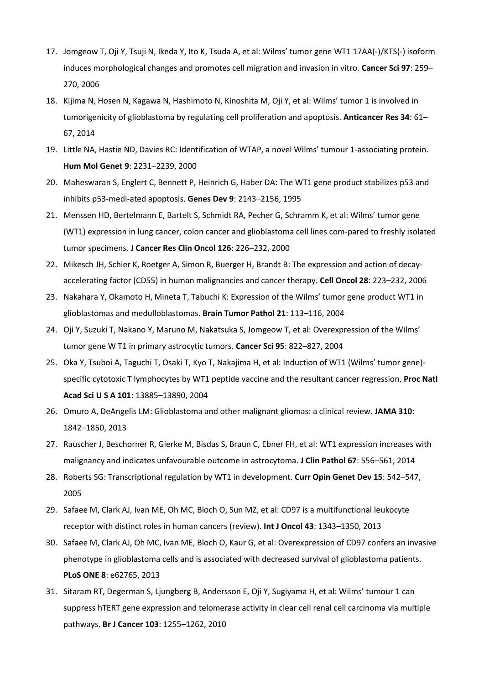- 17. Jomgeow T, Oji Y, Tsuji N, Ikeda Y, Ito K, Tsuda A, et al: Wilms' tumor gene WT1 17AA(-)/KTS(-) isoform induces morphological changes and promotes cell migration and invasion in vitro. **Cancer Sci 97**: 259– 270, 2006
- 18. Kijima N, Hosen N, Kagawa N, Hashimoto N, Kinoshita M, Oji Y, et al: Wilms' tumor 1 is involved in tumorigenicity of glioblastoma by regulating cell proliferation and apoptosis. **Anticancer Res 34**: 61– 67, 2014
- 19. Little NA, Hastie ND, Davies RC: Identification of WTAP, a novel Wilms' tumour 1-associating protein. **Hum Mol Genet 9**: 2231–2239, 2000
- 20. Maheswaran S, Englert C, Bennett P, Heinrich G, Haber DA: The WT1 gene product stabilizes p53 and inhibits p53-medi-ated apoptosis. **Genes Dev 9**: 2143–2156, 1995
- 21. Menssen HD, Bertelmann E, Bartelt S, Schmidt RA, Pecher G, Schramm K, et al: Wilms' tumor gene (WT1) expression in lung cancer, colon cancer and glioblastoma cell lines com-pared to freshly isolated tumor specimens. **J Cancer Res Clin Oncol 126**: 226–232, 2000
- 22. Mikesch JH, Schier K, Roetger A, Simon R, Buerger H, Brandt B: The expression and action of decayaccelerating factor (CD55) in human malignancies and cancer therapy. **Cell Oncol 28**: 223–232, 2006
- 23. Nakahara Y, Okamoto H, Mineta T, Tabuchi K: Expression of the Wilms' tumor gene product WT1 in glioblastomas and medulloblastomas. **Brain Tumor Pathol 21**: 113–116, 2004
- 24. Oji Y, Suzuki T, Nakano Y, Maruno M, Nakatsuka S, Jomgeow T, et al: Overexpression of the Wilms' tumor gene W T1 in primary astrocytic tumors. **Cancer Sci 95**: 822–827, 2004
- 25. Oka Y, Tsuboi A, Taguchi T, Osaki T, Kyo T, Nakajima H, et al: Induction of WT1 (Wilms' tumor gene) specific cytotoxic T lymphocytes by WT1 peptide vaccine and the resultant cancer regression. **Proc Natl Acad Sci U S A 101**: 13885–13890, 2004
- 26. Omuro A, DeAngelis LM: Glioblastoma and other malignant gliomas: a clinical review. **JAMA 310:** 1842–1850, 2013
- 27. Rauscher J, Beschorner R, Gierke M, Bisdas S, Braun C, Ebner FH, et al: WT1 expression increases with malignancy and indicates unfavourable outcome in astrocytoma. **J Clin Pathol 67**: 556–561, 2014
- 28. Roberts SG: Transcriptional regulation by WT1 in development. **Curr Opin Genet Dev 15**: 542–547, 2005
- 29. Safaee M, Clark AJ, Ivan ME, Oh MC, Bloch O, Sun MZ, et al: CD97 is a multifunctional leukocyte receptor with distinct roles in human cancers (review). **Int J Oncol 43**: 1343–1350, 2013
- 30. Safaee M, Clark AJ, Oh MC, Ivan ME, Bloch O, Kaur G, et al: Overexpression of CD97 confers an invasive phenotype in glioblastoma cells and is associated with decreased survival of glioblastoma patients. **PLoS ONE 8**: e62765, 2013
- 31. Sitaram RT, Degerman S, Ljungberg B, Andersson E, Oji Y, Sugiyama H, et al: Wilms' tumour 1 can suppress hTERT gene expression and telomerase activity in clear cell renal cell carcinoma via multiple pathways. **Br J Cancer 103**: 1255–1262, 2010